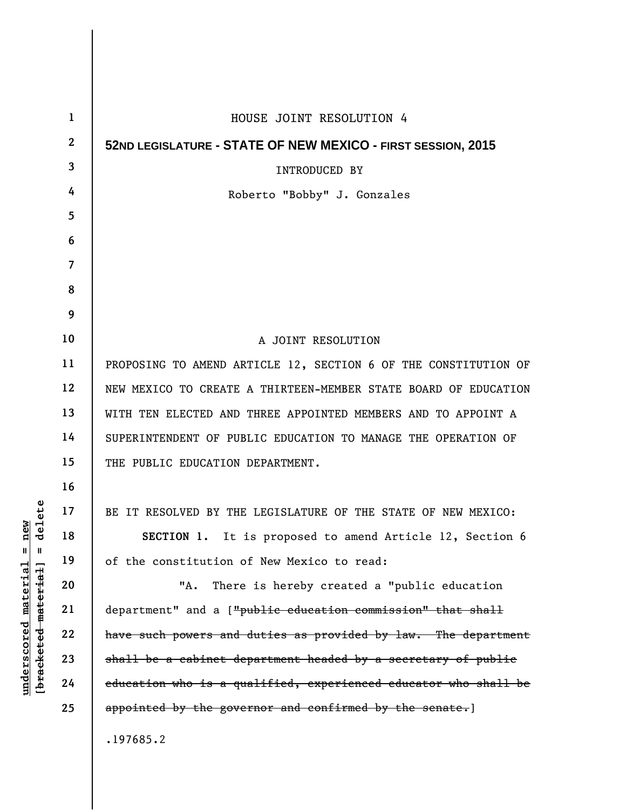| $\mathbf{1}$ | HOUSE JOINT RESOLUTION 4                                        |
|--------------|-----------------------------------------------------------------|
| $\mathbf{2}$ | 52ND LEGISLATURE - STATE OF NEW MEXICO - FIRST SESSION, 2015    |
| 3            | <b>INTRODUCED BY</b>                                            |
| 4            | Roberto "Bobby" J. Gonzales                                     |
| 5            |                                                                 |
| 6            |                                                                 |
| 7            |                                                                 |
| 8            |                                                                 |
| 9            |                                                                 |
| 10           | A JOINT RESOLUTION                                              |
| 11           | PROPOSING TO AMEND ARTICLE 12, SECTION 6 OF THE CONSTITUTION OF |
| 12           | NEW MEXICO TO CREATE A THIRTEEN-MEMBER STATE BOARD OF EDUCATION |
| 13           | WITH TEN ELECTED AND THREE APPOINTED MEMBERS AND TO APPOINT A   |
| 14           | SUPERINTENDENT OF PUBLIC EDUCATION TO MANAGE THE OPERATION OF   |
| 15           | THE PUBLIC EDUCATION DEPARTMENT.                                |
| 16           |                                                                 |
| 17           | BE IT RESOLVED BY THE LEGISLATURE OF THE STATE OF NEW MEXICO:   |
| 18           | SECTION 1. It is proposed to amend Article 12, Section 6        |
| 19           | of the constitution of New Mexico to read:                      |
| 20           | There is hereby created a "public education<br>"А.              |
| 21           | department" and a ["public education commission" that shall     |
| 22           | have such powers and duties as provided by law. The department  |
| 23           | shall be a cabinet department headed by a secretary of public   |
| 24           | education who is a qualified, experienced educator who shall be |
| 25           | appointed by the governor and confirmed by the senate.]         |
|              | .197685.2                                                       |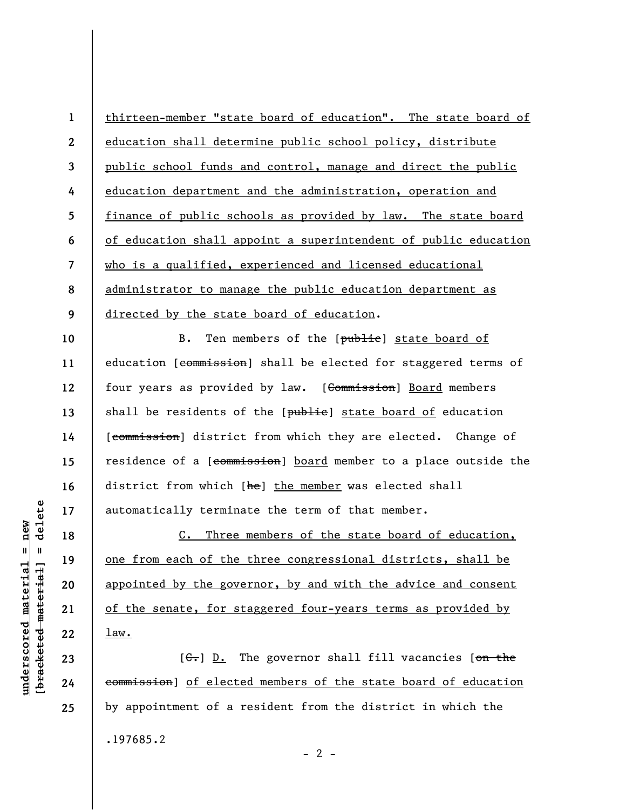**1 2 3 4 5 6 7 8 9**  thirteen-member "state board of education". The state board of education shall determine public school policy, distribute public school funds and control, manage and direct the public education department and the administration, operation and finance of public schools as provided by law. The state board of education shall appoint a superintendent of public education who is a qualified, experienced and licensed educational administrator to manage the public education department as directed by the state board of education.

**10 11 12 13 14 15 16 17**  B. Ten members of the [public] state board of education [commission] shall be elected for staggered terms of four years as provided by law. [Commission] Board members shall be residents of the [public] state board of education [commission] district from which they are elected. Change of residence of a [commission] board member to a place outside the district from which [he] the member was elected shall automatically terminate the term of that member.

C. Three members of the state board of education, one from each of the three congressional districts, shall be appointed by the governor, by and with the advice and consent of the senate, for staggered four-years terms as provided by law.

 $[G_r]$  D. The governor shall fill vacancies [on the commission] of elected members of the state board of education by appointment of a resident from the district in which the .197685.2  $- 2 -$ 

delete **[bracketed material] = delete**  $underscored material = new$ **underscored material = new**  $\mathbf{I}$ bracketed material

**23 24** 

**18** 

**19** 

**20** 

**21** 

**22** 

**25**